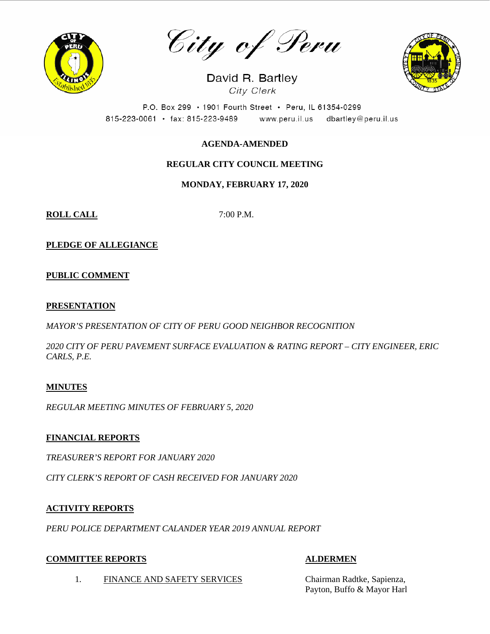

City of Peru

David R. Bartley City Clerk



P.O. Box 299 · 1901 Fourth Street · Peru, IL 61354-0299 815-223-0061 · fax: 815-223-9489 www.peru.il.us dbartley@peru.il.us

# **AGENDA-AMENDED**

# **REGULAR CITY COUNCIL MEETING**

# **MONDAY, FEBRUARY 17, 2020**

**ROLL CALL** 7:00 P.M.

**PLEDGE OF ALLEGIANCE**

# **PUBLIC COMMENT**

## **PRESENTATION**

*MAYOR'S PRESENTATION OF CITY OF PERU GOOD NEIGHBOR RECOGNITION*

*2020 CITY OF PERU PAVEMENT SURFACE EVALUATION & RATING REPORT – CITY ENGINEER, ERIC CARLS, P.E.*

# **MINUTES**

*REGULAR MEETING MINUTES OF FEBRUARY 5, 2020*

# **FINANCIAL REPORTS**

*TREASURER'S REPORT FOR JANUARY 2020*

*CITY CLERK'S REPORT OF CASH RECEIVED FOR JANUARY 2020*

# **ACTIVITY REPORTS**

*PERU POLICE DEPARTMENT CALANDER YEAR 2019 ANNUAL REPORT*

# **COMMITTEE REPORTS ALDERMEN**

Payton, Buffo & Mayor Harl

1. FINANCE AND SAFETY SERVICES Chairman Radtke, Sapienza,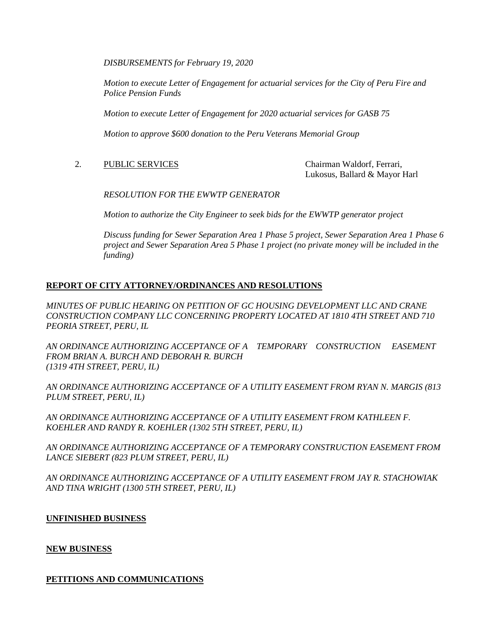*DISBURSEMENTS for February 19, 2020*

*Motion to execute Letter of Engagement for actuarial services for the City of Peru Fire and Police Pension Funds*

*Motion to execute Letter of Engagement for 2020 actuarial services for GASB 75*

*Motion to approve \$600 donation to the Peru Veterans Memorial Group*

2. PUBLIC SERVICES Chairman Waldorf, Ferrari,

Lukosus, Ballard & Mayor Harl

*RESOLUTION FOR THE EWWTP GENERATOR*

*Motion to authorize the City Engineer to seek bids for the EWWTP generator project*

*Discuss funding for Sewer Separation Area 1 Phase 5 project, Sewer Separation Area 1 Phase 6 project and Sewer Separation Area 5 Phase 1 project (no private money will be included in the funding)*

## **REPORT OF CITY ATTORNEY/ORDINANCES AND RESOLUTIONS**

*MINUTES OF PUBLIC HEARING ON PETITION OF GC HOUSING DEVELOPMENT LLC AND CRANE CONSTRUCTION COMPANY LLC CONCERNING PROPERTY LOCATED AT 1810 4TH STREET AND 710 PEORIA STREET, PERU, IL* 

*AN ORDINANCE AUTHORIZING ACCEPTANCE OF A TEMPORARY CONSTRUCTION EASEMENT FROM BRIAN A. BURCH AND DEBORAH R. BURCH (1319 4TH STREET, PERU, IL)*

*AN ORDINANCE AUTHORIZING ACCEPTANCE OF A UTILITY EASEMENT FROM RYAN N. MARGIS (813 PLUM STREET, PERU, IL)*

*AN ORDINANCE AUTHORIZING ACCEPTANCE OF A UTILITY EASEMENT FROM KATHLEEN F. KOEHLER AND RANDY R. KOEHLER (1302 5TH STREET, PERU, IL)*

*AN ORDINANCE AUTHORIZING ACCEPTANCE OF A TEMPORARY CONSTRUCTION EASEMENT FROM LANCE SIEBERT (823 PLUM STREET, PERU, IL)*

*AN ORDINANCE AUTHORIZING ACCEPTANCE OF A UTILITY EASEMENT FROM JAY R. STACHOWIAK AND TINA WRIGHT (1300 5TH STREET, PERU, IL)*

## **UNFINISHED BUSINESS**

## **NEW BUSINESS**

## **PETITIONS AND COMMUNICATIONS**